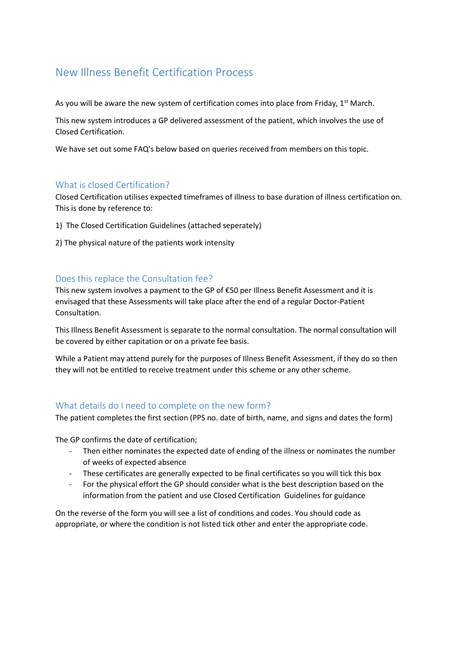# New Illness Benefit Certification Process

As you will be aware the new system of certification comes into place from Friday,  $1<sup>st</sup>$  March.

This new system introduces a GP delivered assessment of the patient, which involves the use of Closed Certification.

We have set out some FAQ's below based on queries received from members on this topic.

## What is closed Certification?

Closed Certification utilises expected timeframes of illness to base duration of illness certification on. This is done by reference to:

- 1) The Closed Certification Guidelines (attached seperately)
- 2) The physical nature of the patients work intensity

# Does this replace the Consultation fee?

This new system involves a payment to the GP of €50 per Illness Benefit Assessment and it is envisaged that these Assessments will take place after the end of a regular Doctor-Patient Consultation.

This Illness Benefit Assessment is separate to the normal consultation. The normal consultation will be covered by either capitation or on a private fee basis.

While a Patient may attend purely for the purposes of Illness Benefit Assessment, if they do so then they will not be entitled to receive treatment under this scheme or any other scheme.

## What details do I need to complete on the new form?

The patient completes the first section (PPS no. date of birth, name, and signs and dates the form)

The GP confirms the date of certification;

- Then either nominates the expected date of ending of the illness or nominates the number of weeks of expected absence
- These certificates are generally expected to be final certificates so you will tick this box
- For the physical effort the GP should consider what is the best description based on the information from the patient and use Closed Certification Guidelines for guidance

On the reverse of the form you will see a list of conditions and codes. You should code as appropriate, or where the condition is not listed tick other and enter the appropriate code.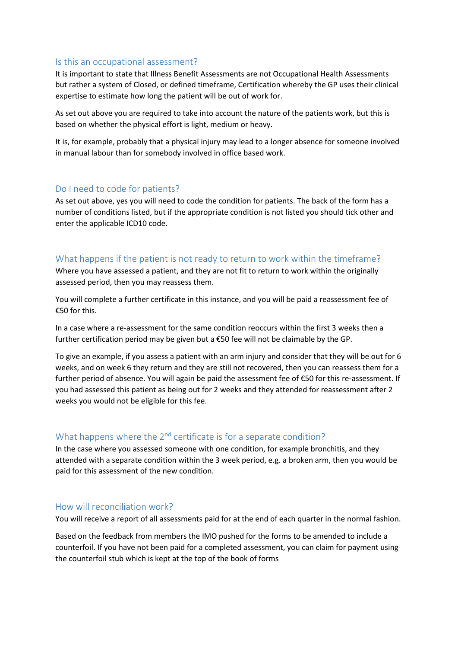#### Is this an occupational assessment?

It is important to state that Illness Benefit Assessments are not Occupational Health Assessments but rather a system of Closed, or defined timeframe, Certification whereby the GP uses their clinical expertise to estimate how long the patient will be out of work for.

As set out above you are required to take into account the nature of the patients work, but this is based on whether the physical effort is light, medium or heavy.

It is, for example, probably that a physical injury may lead to a longer absence for someone involved in manual labour than for somebody involved in office based work.

## Do I need to code for patients?

As set out above, yes you will need to code the condition for patients. The back of the form has a number of conditions listed, but if the appropriate condition is not listed you should tick other and enter the applicable ICD10 code.

## What happens if the patient is not ready to return to work within the timeframe?

Where you have assessed a patient, and they are not fit to return to work within the originally assessed period, then you may reassess them.

You will complete a further certificate in this instance, and you will be paid a reassessment fee of €50 for this.

In a case where a re-assessment for the same condition reoccurs within the first 3 weeks then a further certification period may be given but a €50 fee will not be claimable by the GP.

To give an example, if you assess a patient with an arm injury and consider that they will be out for 6 weeks, and on week 6 they return and they are still not recovered, then you can reassess them for a further period of absence. You will again be paid the assessment fee of €50 for this re-assessment. If you had assessed this patient as being out for 2 weeks and they attended for reassessment after 2 weeks you would not be eligible for this fee.

# What happens where the  $2^{nd}$  certificate is for a separate condition?

In the case where you assessed someone with one condition, for example bronchitis, and they attended with a separate condition within the 3 week period, e.g. a broken arm, then you would be paid for this assessment of the new condition.

## How will reconciliation work?

You will receive a report of all assessments paid for at the end of each quarter in the normal fashion.

Based on the feedback from members the IMO pushed for the forms to be amended to include a counterfoil. If you have not been paid for a completed assessment, you can claim for payment using the counterfoil stub which is kept at the top of the book of forms